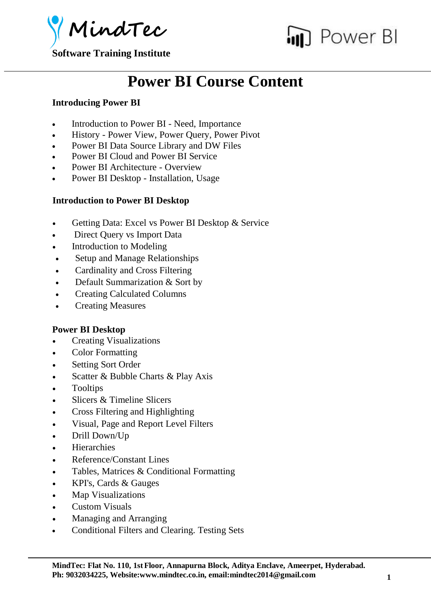

**Software Training Institute**



## **Power BI Course Content**

## **Introducing Power BI**

- Introduction to Power BI Need, Importance
- History Power View, Power Query, Power Pivot
- Power BI Data Source Library and DW Files
- Power BI Cloud and Power BI Service
- Power BI Architecture Overview
- Power BI Desktop Installation, Usage

## **Introduction to Power BI Desktop**

- Getting Data: Excel vs Power BI Desktop & Service
- Direct Query vs Import Data
- Introduction to Modeling
- Setup and Manage Relationships
- Cardinality and Cross Filtering
- Default Summarization & Sort by
- Creating Calculated Columns
- Creating Measures

## **Power BI Desktop**

- Creating Visualizations
- Color Formatting
- Setting Sort Order
- Scatter & Bubble Charts & Play Axis
- Tooltips
- Slicers & Timeline Slicers
- Cross Filtering and Highlighting
- Visual, Page and Report Level Filters
- Drill Down/Up
- Hierarchies
- Reference/Constant Lines
- Tables, Matrices & Conditional Formatting
- KPI's, Cards & Gauges
- Map Visualizations
- Custom Visuals
- Managing and Arranging
- Conditional Filters and Clearing. Testing Sets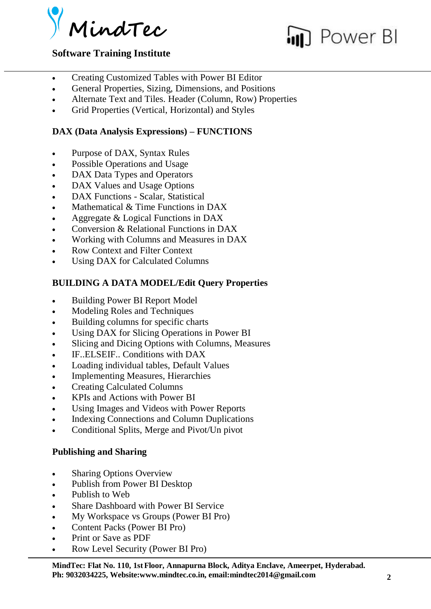



## **Software Training Institute**

- Creating Customized Tables with Power BI Editor
- General Properties, Sizing, Dimensions, and Positions
- Alternate Text and Tiles. Header (Column, Row) Properties
- Grid Properties (Vertical, Horizontal) and Styles

## **DAX (Data Analysis Expressions) – FUNCTIONS**

- Purpose of DAX, Syntax Rules
- Possible Operations and Usage
- DAX Data Types and Operators
- DAX Values and Usage Options
- DAX Functions Scalar, Statistical
- $\bullet$  Mathematical & Time Functions in DAX
- Aggregate & Logical Functions in DAX
- Conversion & Relational Functions in DAX
- Working with Columns and Measures in DAX
- Row Context and Filter Context
- Using DAX for Calculated Columns

## **BUILDING A DATA MODEL/Edit Query Properties**

- Building Power BI Report Model
- Modeling Roles and Techniques
- Building columns for specific charts
- Using DAX for Slicing Operations in Power BI
- Slicing and Dicing Options with Columns, Measures
- IF..ELSEIF.. Conditions with DAX
- Loading individual tables, Default Values
- Implementing Measures, Hierarchies
- Creating Calculated Columns
- KPIs and Actions with Power BI
- Using Images and Videos with Power Reports
- Indexing Connections and Column Duplications
- Conditional Splits, Merge and Pivot/Un pivot

## **Publishing and Sharing**

- Sharing Options Overview
- Publish from Power BI Desktop
- Publish to Web
- Share Dashboard with Power BI Service
- My Workspace vs Groups (Power BI Pro)
- Content Packs (Power BI Pro)
- Print or Save as PDF
- Row Level Security (Power BI Pro)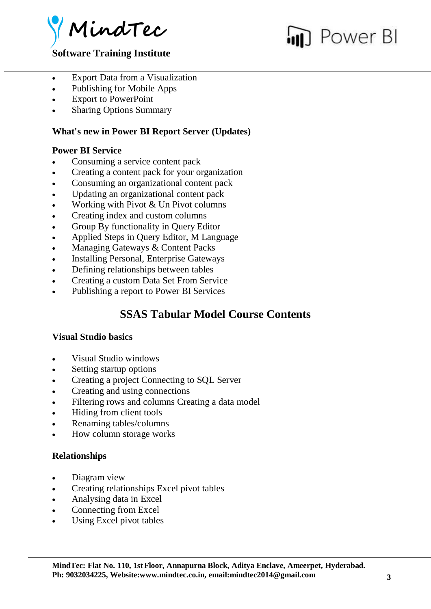

# Power BI

## **Software Training Institute**

- Export Data from a Visualization
- Publishing for Mobile Apps
- Export to PowerPoint
- Sharing Options Summary

## **What's new in Power BI Report Server (Updates)**

## **Power BI Service**

- Consuming a service content pack
- Creating a content pack for your organization
- Consuming an organizational content pack
- Updating an organizational content pack
- Working with Pivot & Un Pivot columns
- Creating index and custom columns
- Group By functionality in Query Editor
- Applied Steps in Query Editor, M Language
- Managing Gateways & Content Packs
- Installing Personal, Enterprise Gateways
- Defining relationships between tables
- Creating a custom Data Set From Service
- Publishing a report to Power BI Services

## **SSAS Tabular Model Course Contents**

#### **Visual Studio basics**

- Visual Studio windows
- Setting startup options
- Creating a project Connecting to SQL Server
- Creating and using connections
- Filtering rows and columns Creating a data model
- Hiding from client tools
- Renaming tables/columns
- How column storage works

## **Relationships**

- Diagram view
- Creating relationships Excel pivot tables
- Analysing data in Excel
- Connecting from Excel
- Using Excel pivot tables